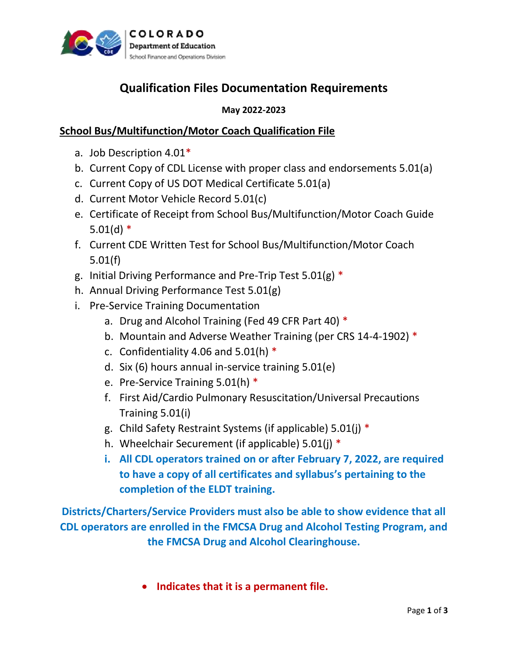

# **Qualification Files Documentation Requirements**

### **May 2022-2023**

## **School Bus/Multifunction/Motor Coach Qualification File**

- a. Job Description 4.01\*
- b. Current Copy of CDL License with proper class and endorsements 5.01(a)
- c. Current Copy of US DOT Medical Certificate 5.01(a)
- d. Current Motor Vehicle Record 5.01(c)
- e. Certificate of Receipt from School Bus/Multifunction/Motor Coach Guide  $5.01(d)$  \*
- f. Current CDE Written Test for School Bus/Multifunction/Motor Coach 5.01(f)
- g. Initial Driving Performance and Pre-Trip Test 5.01(g)  $*$
- h. Annual Driving Performance Test 5.01(g)
- i. Pre-Service Training Documentation
	- a. Drug and Alcohol Training (Fed 49 CFR Part 40) \*
	- b. Mountain and Adverse Weather Training (per CRS 14-4-1902) \*
	- c. Confidentiality 4.06 and 5.01(h)  $*$
	- d. Six (6) hours annual in-service training 5.01(e)
	- e. Pre-Service Training 5.01(h) \*
	- f. First Aid/Cardio Pulmonary Resuscitation/Universal Precautions Training 5.01(i)
	- g. Child Safety Restraint Systems (if applicable) 5.01(j) \*
	- h. Wheelchair Securement (if applicable) 5.01(j) \*
	- **i. All CDL operators trained on or after February 7, 2022, are required to have a copy of all certificates and syllabus's pertaining to the completion of the ELDT training.**

**Districts/Charters/Service Providers must also be able to show evidence that all CDL operators are enrolled in the FMCSA Drug and Alcohol Testing Program, and the FMCSA Drug and Alcohol Clearinghouse.**

• **Indicates that it is a permanent file.**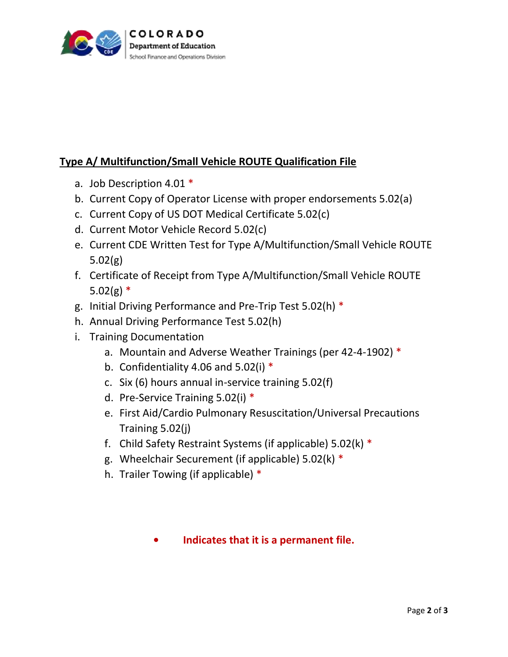

# **Type A/ Multifunction/Small Vehicle ROUTE Qualification File**

- a. Job Description 4.01 \*
- b. Current Copy of Operator License with proper endorsements 5.02(a)
- c. Current Copy of US DOT Medical Certificate 5.02(c)
- d. Current Motor Vehicle Record 5.02(c)
- e. Current CDE Written Test for Type A/Multifunction/Small Vehicle ROUTE 5.02(g)
- f. Certificate of Receipt from Type A/Multifunction/Small Vehicle ROUTE  $5.02(g)$  \*
- g. Initial Driving Performance and Pre-Trip Test 5.02(h) \*
- h. Annual Driving Performance Test 5.02(h)
- i. Training Documentation
	- a. Mountain and Adverse Weather Trainings (per 42-4-1902) \*
	- b. Confidentiality 4.06 and 5.02(i)  $*$
	- c. Six (6) hours annual in-service training 5.02(f)
	- d. Pre-Service Training 5.02(i) \*
	- e. First Aid/Cardio Pulmonary Resuscitation/Universal Precautions Training 5.02(j)
	- f. Child Safety Restraint Systems (if applicable) 5.02(k) \*
	- g. Wheelchair Securement (if applicable) 5.02(k) \*
	- h. Trailer Towing (if applicable) \*

## **• Indicates that it is a permanent file.**